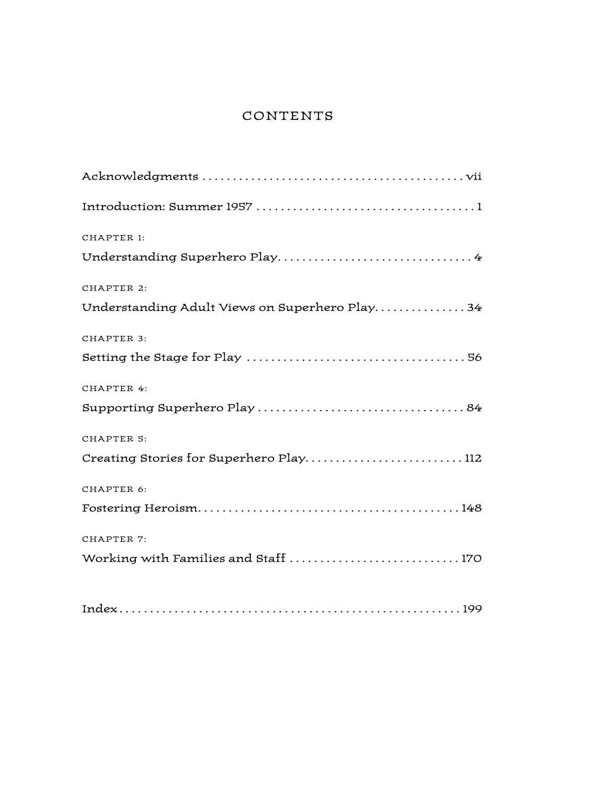#### CONTENTS

| CHAPTER 1:                                    |
|-----------------------------------------------|
|                                               |
| CHAPTER 2:                                    |
| Understanding Adult Views on Superhero Play34 |
| <b>CHAPTER 3:</b>                             |
|                                               |
| CHAPTER 4:                                    |
|                                               |
| CHAPTER 5:                                    |
| Creating Stories for Superhero Play112        |
| CHAPTER 6:                                    |
|                                               |
| CHAPTER 7:                                    |
| Working with Families and Staff  170          |
|                                               |
|                                               |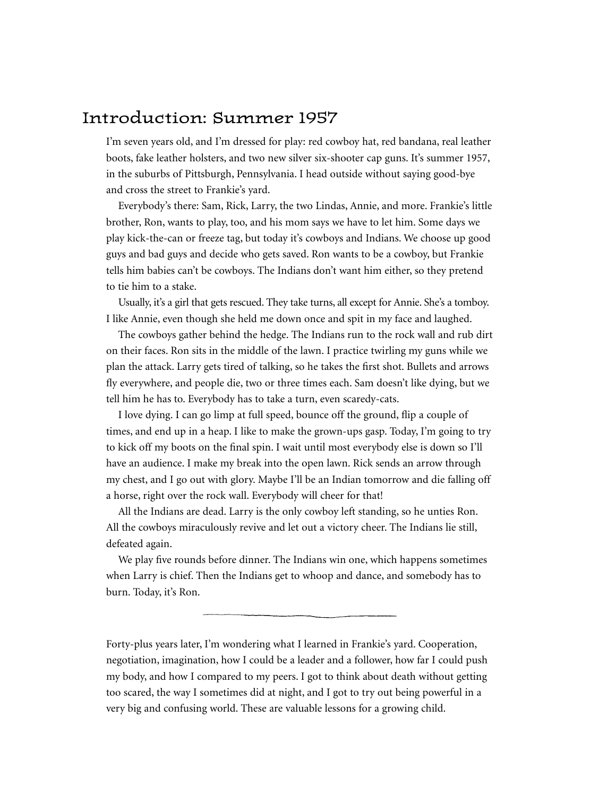### Introduction: Summer 1957

I'm seven years old, and I'm dressed for play: red cowboy hat, red bandana, real leather boots, fake leather holsters, and two new silver six-shooter cap guns. It's summer 1957, in the suburbs of Pittsburgh, Pennsylvania. I head outside without saying good-bye and cross the street to Frankie's yard.

Everybody's there: Sam, Rick, Larry, the two Lindas, Annie, and more. Frankie's little brother, Ron, wants to play, too, and his mom says we have to let him. Some days we play kick-the-can or freeze tag, but today it's cowboys and Indians. We choose up good guys and bad guys and decide who gets saved. Ron wants to be a cowboy, but Frankie tells him babies can't be cowboys. The Indians don't want him either, so they pretend to tie him to a stake.

Usually, it's a girl that gets rescued. They take turns, all except for Annie. She's a tomboy. I like Annie, even though she held me down once and spit in my face and laughed.

The cowboys gather behind the hedge. The Indians run to the rock wall and rub dirt on their faces. Ron sits in the middle of the lawn. I practice twirling my guns while we plan the attack. Larry gets tired of talking, so he takes the first shot. Bullets and arrows fly everywhere, and people die, two or three times each. Sam doesn't like dying, but we tell him he has to. Everybody has to take a turn, even scaredy-cats.

I love dying. I can go limp at full speed, bounce off the ground, flip a couple of times, and end up in a heap. I like to make the grown-ups gasp. Today, I'm going to try to kick off my boots on the final spin. I wait until most everybody else is down so I'll have an audience. I make my break into the open lawn. Rick sends an arrow through my chest, and I go out with glory. Maybe I'll be an Indian tomorrow and die falling off a horse, right over the rock wall. Everybody will cheer for that!

All the Indians are dead. Larry is the only cowboy left standing, so he unties Ron. All the cowboys miraculously revive and let out a victory cheer. The Indians lie still, defeated again.

We play five rounds before dinner. The Indians win one, which happens sometimes when Larry is chief. Then the Indians get to whoop and dance, and somebody has to burn. Today, it's Ron.

Forty-plus years later, I'm wondering what I learned in Frankie's yard. Cooperation, negotiation, imagination, how I could be a leader and a follower, how far I could push my body, and how I compared to my peers. I got to think about death without getting too scared, the way I sometimes did at night, and I got to try out being powerful in a very big and confusing world. These are valuable lessons for a growing child.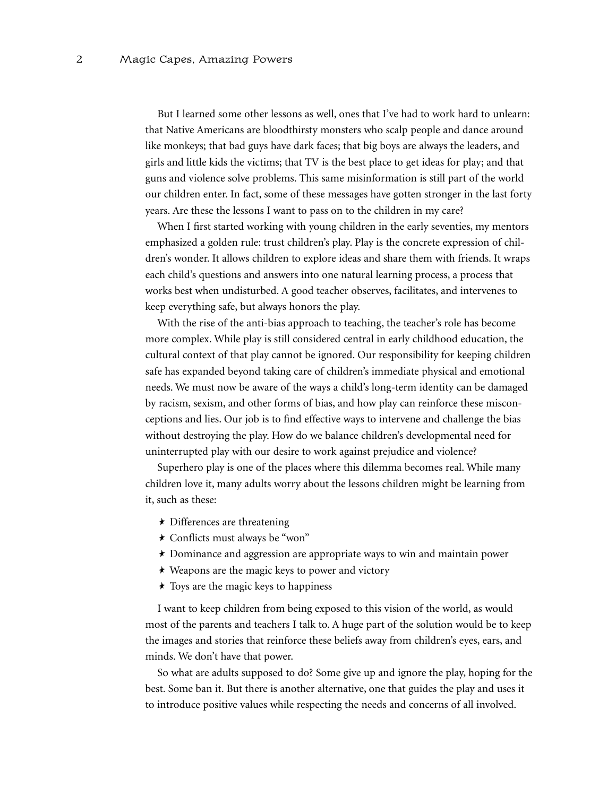But I learned some other lessons as well, ones that I've had to work hard to unlearn: that Native Americans are bloodthirsty monsters who scalp people and dance around like monkeys; that bad guys have dark faces; that big boys are always the leaders, and girls and little kids the victims; that TV is the best place to get ideas for play; and that guns and violence solve problems. This same misinformation is still part of the world our children enter. In fact, some of these messages have gotten stronger in the last forty years. Are these the lessons I want to pass on to the children in my care?

When I first started working with young children in the early seventies, my mentors emphasized a golden rule: trust children's play. Play is the concrete expression of children's wonder. It allows children to explore ideas and share them with friends. It wraps each child's questions and answers into one natural learning process, a process that works best when undisturbed. A good teacher observes, facilitates, and intervenes to keep everything safe, but always honors the play.

With the rise of the anti-bias approach to teaching, the teacher's role has become more complex. While play is still considered central in early childhood education, the cultural context of that play cannot be ignored. Our responsibility for keeping children safe has expanded beyond taking care of children's immediate physical and emotional needs. We must now be aware of the ways a child's long-term identity can be damaged by racism, sexism, and other forms of bias, and how play can reinforce these misconceptions and lies. Our job is to find effective ways to intervene and challenge the bias without destroying the play. How do we balance children's developmental need for uninterrupted play with our desire to work against prejudice and violence?

Superhero play is one of the places where this dilemma becomes real. While many children love it, many adults worry about the lessons children might be learning from it, such as these:

- $\star$  Differences are threatening
- ; Conflicts must always be "won"
- ; Dominance and aggression are appropriate ways to win and maintain power
- \* Weapons are the magic keys to power and victory
- $\star$  Toys are the magic keys to happiness

I want to keep children from being exposed to this vision of the world, as would most of the parents and teachers I talk to. A huge part of the solution would be to keep the images and stories that reinforce these beliefs away from children's eyes, ears, and minds. We don't have that power.

So what are adults supposed to do? Some give up and ignore the play, hoping for the best. Some ban it. But there is another alternative, one that guides the play and uses it to introduce positive values while respecting the needs and concerns of all involved.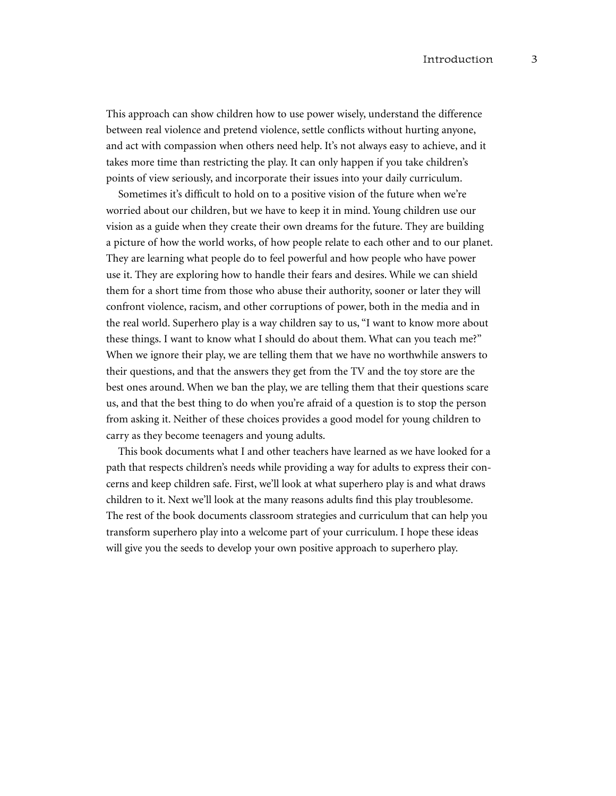This approach can show children how to use power wisely, understand the difference between real violence and pretend violence, settle conflicts without hurting anyone, and act with compassion when others need help. It's not always easy to achieve, and it takes more time than restricting the play. It can only happen if you take children's points of view seriously, and incorporate their issues into your daily curriculum.

Sometimes it's difficult to hold on to a positive vision of the future when we're worried about our children, but we have to keep it in mind. Young children use our vision as a guide when they create their own dreams for the future. They are building a picture of how the world works, of how people relate to each other and to our planet. They are learning what people do to feel powerful and how people who have power use it. They are exploring how to handle their fears and desires. While we can shield them for a short time from those who abuse their authority, sooner or later they will confront violence, racism, and other corruptions of power, both in the media and in the real world. Superhero play is a way children say to us, "I want to know more about these things. I want to know what I should do about them. What can you teach me?" When we ignore their play, we are telling them that we have no worthwhile answers to their questions, and that the answers they get from the TV and the toy store are the best ones around. When we ban the play, we are telling them that their questions scare us, and that the best thing to do when you're afraid of a question is to stop the person from asking it. Neither of these choices provides a good model for young children to carry as they become teenagers and young adults.

This book documents what I and other teachers have learned as we have looked for a path that respects children's needs while providing a way for adults to express their concerns and keep children safe. First, we'll look at what superhero play is and what draws children to it. Next we'll look at the many reasons adults find this play troublesome. The rest of the book documents classroom strategies and curriculum that can help you transform superhero play into a welcome part of your curriculum. I hope these ideas will give you the seeds to develop your own positive approach to superhero play.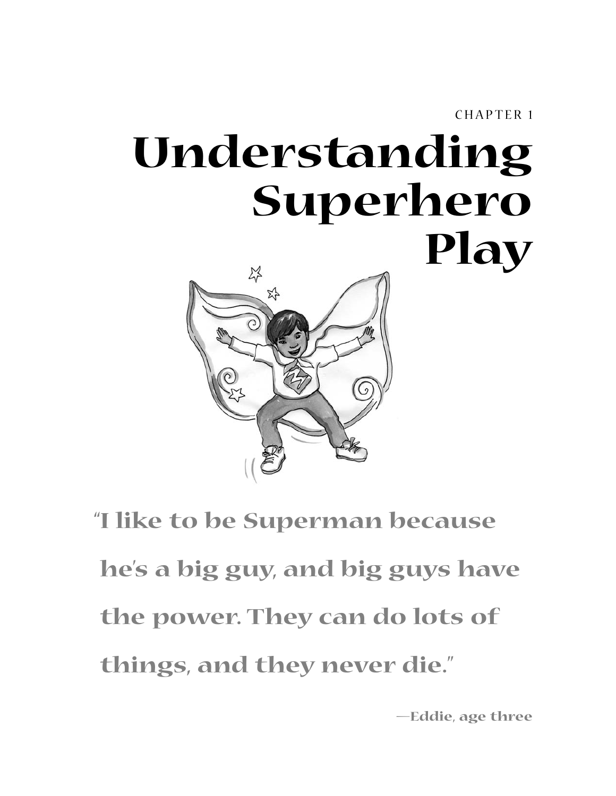CHAPTER 1

# **Understanding Superhero Play**  $\overrightarrow{c}$



**"I like to be Superman because he's a big guy, and big guys have the power. They can do lots of things, and they never die."**

**—Eddie, age three**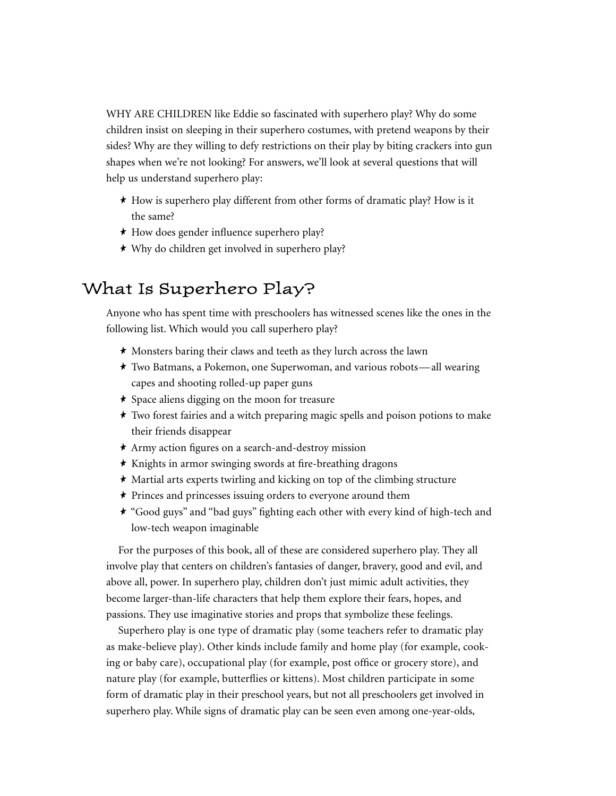WHY ARE CHILDREN like Eddie so fascinated with superhero play? Why do some children insist on sleeping in their superhero costumes, with pretend weapons by their sides? Why are they willing to defy restrictions on their play by biting crackers into gun shapes when we're not looking? For answers, we'll look at several questions that will help us understand superhero play:

- ; How is superhero play different from other forms of dramatic play? How is it the same?
- ; How does gender influence superhero play?
- ; Why do children get involved in superhero play?

## What Is Superhero Play?

Anyone who has spent time with preschoolers has witnessed scenes like the ones in the following list. Which would you call superhero play?

- ; Monsters baring their claws and teeth as they lurch across the lawn
- ; Two Batmans, a Pokemon, one Superwoman, and various robots—all wearing capes and shooting rolled-up paper guns
- ; Space aliens digging on the moon for treasure
- ; Two forest fairies and a witch preparing magic spells and poison potions to make their friends disappear
- ; Army action figures on a search-and-destroy mission
- ; Knights in armor swinging swords at fire-breathing dragons
- ; Martial arts experts twirling and kicking on top of the climbing structure
- \* Princes and princesses issuing orders to everyone around them
- ; "Good guys" and "bad guys" fighting each other with every kind of high-tech and low-tech weapon imaginable

For the purposes of this book, all of these are considered superhero play. They all involve play that centers on children's fantasies of danger, bravery, good and evil, and above all, power. In superhero play, children don't just mimic adult activities, they become larger-than-life characters that help them explore their fears, hopes, and passions. They use imaginative stories and props that symbolize these feelings.

Superhero play is one type of dramatic play (some teachers refer to dramatic play as make-believe play). Other kinds include family and home play (for example, cooking or baby care), occupational play (for example, post office or grocery store), and nature play (for example, butterflies or kittens). Most children participate in some form of dramatic play in their preschool years, but not all preschoolers get involved in superhero play. While signs of dramatic play can be seen even among one-year-olds,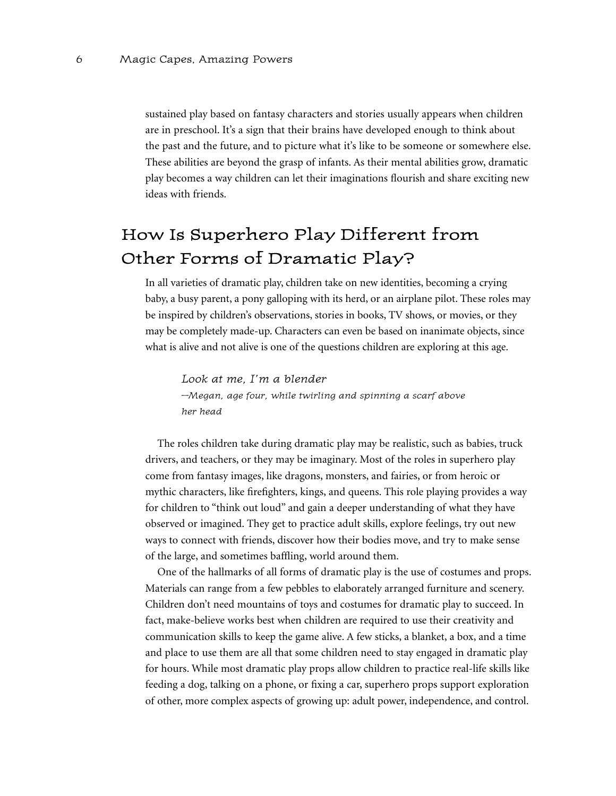sustained play based on fantasy characters and stories usually appears when children are in preschool. It's a sign that their brains have developed enough to think about the past and the future, and to picture what it's like to be someone or somewhere else. These abilities are beyond the grasp of infants. As their mental abilities grow, dramatic play becomes a way children can let their imaginations flourish and share exciting new ideas with friends.

## How Is Superhero Play Different from Other Forms of Dramatic Play?

In all varieties of dramatic play, children take on new identities, becoming a crying baby, a busy parent, a pony galloping with its herd, or an airplane pilot. These roles may be inspired by children's observations, stories in books, TV shows, or movies, or they may be completely made-up. Characters can even be based on inanimate objects, since what is alive and not alive is one of the questions children are exploring at this age.

*Look at me, I'm a blender —Megan, age four, while twirling and spinning a scarf above her head*

The roles children take during dramatic play may be realistic, such as babies, truck drivers, and teachers, or they may be imaginary. Most of the roles in superhero play come from fantasy images, like dragons, monsters, and fairies, or from heroic or mythic characters, like firefighters, kings, and queens. This role playing provides a way for children to "think out loud" and gain a deeper understanding of what they have observed or imagined. They get to practice adult skills, explore feelings, try out new ways to connect with friends, discover how their bodies move, and try to make sense of the large, and sometimes baffling, world around them.

One of the hallmarks of all forms of dramatic play is the use of costumes and props. Materials can range from a few pebbles to elaborately arranged furniture and scenery. Children don't need mountains of toys and costumes for dramatic play to succeed. In fact, make-believe works best when children are required to use their creativity and communication skills to keep the game alive. A few sticks, a blanket, a box, and a time and place to use them are all that some children need to stay engaged in dramatic play for hours. While most dramatic play props allow children to practice real-life skills like feeding a dog, talking on a phone, or fixing a car, superhero props support exploration of other, more complex aspects of growing up: adult power, independence, and control.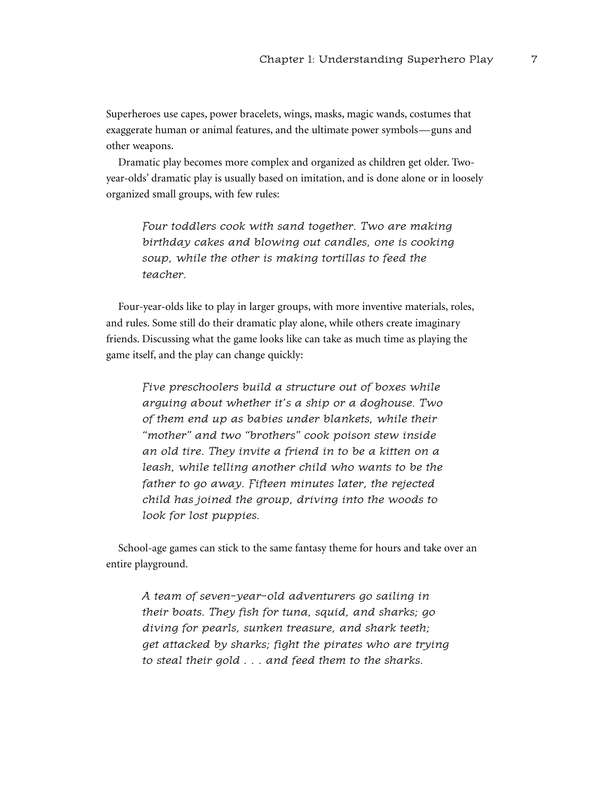Superheroes use capes, power bracelets, wings, masks, magic wands, costumes that exaggerate human or animal features, and the ultimate power symbols—guns and other weapons.

Dramatic play becomes more complex and organized as children get older. Twoyear-olds' dramatic play is usually based on imitation, and is done alone or in loosely organized small groups, with few rules:

*Four toddlers cook with sand together. Two are making birthday cakes and blowing out candles, one is cooking soup, while the other is making tortillas to feed the teacher.*

Four-year-olds like to play in larger groups, with more inventive materials, roles, and rules. Some still do their dramatic play alone, while others create imaginary friends. Discussing what the game looks like can take as much time as playing the game itself, and the play can change quickly:

*Five preschoolers build a structure out of boxes while arguing about whether it's a ship or a doghouse. Two of them end up as babies under blankets, while their "mother" and two "brothers" cook poison stew inside an old tire. They invite a friend in to be a kitten on a leash, while telling another child who wants to be the father to go away. Fifteen minutes later, the rejected child has joined the group, driving into the woods to look for lost puppies.*

School-age games can stick to the same fantasy theme for hours and take over an entire playground.

*A team of seven-year-old adventurers go sailing in their boats. They fish for tuna, squid, and sharks; go diving for pearls, sunken treasure, and shark teeth; get attacked by sharks; fight the pirates who are trying to steal their gold . . . and feed them to the sharks.*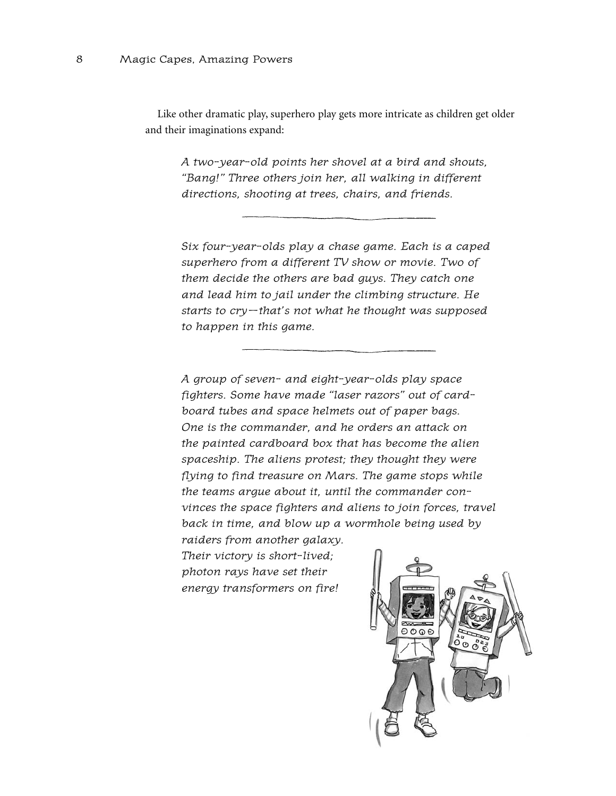Like other dramatic play, superhero play gets more intricate as children get older and their imaginations expand:

*A two-year-old points her shovel at a bird and shouts, "Bang!" Three others join her, all walking in different directions, shooting at trees, chairs, and friends.*

*Six four-year-olds play a chase game. Each is a caped superhero from a different TV show or movie. Two of them decide the others are bad guys. They catch one and lead him to jail under the climbing structure. He starts to cry—that's not what he thought was supposed to happen in this game.*

*A group of seven- and eight-year-olds play space fighters. Some have made "laser razors" out of cardboard tubes and space helmets out of paper bags. One is the commander, and he orders an attack on the painted cardboard box that has become the alien spaceship. The aliens protest; they thought they were flying to find treasure on Mars. The game stops while the teams argue about it, until the commander convinces the space fighters and aliens to join forces, travel back in time, and blow up a wormhole being used by raiders from another galaxy.*

*Their victory is short-lived; photon rays have set their energy transformers on fire!*